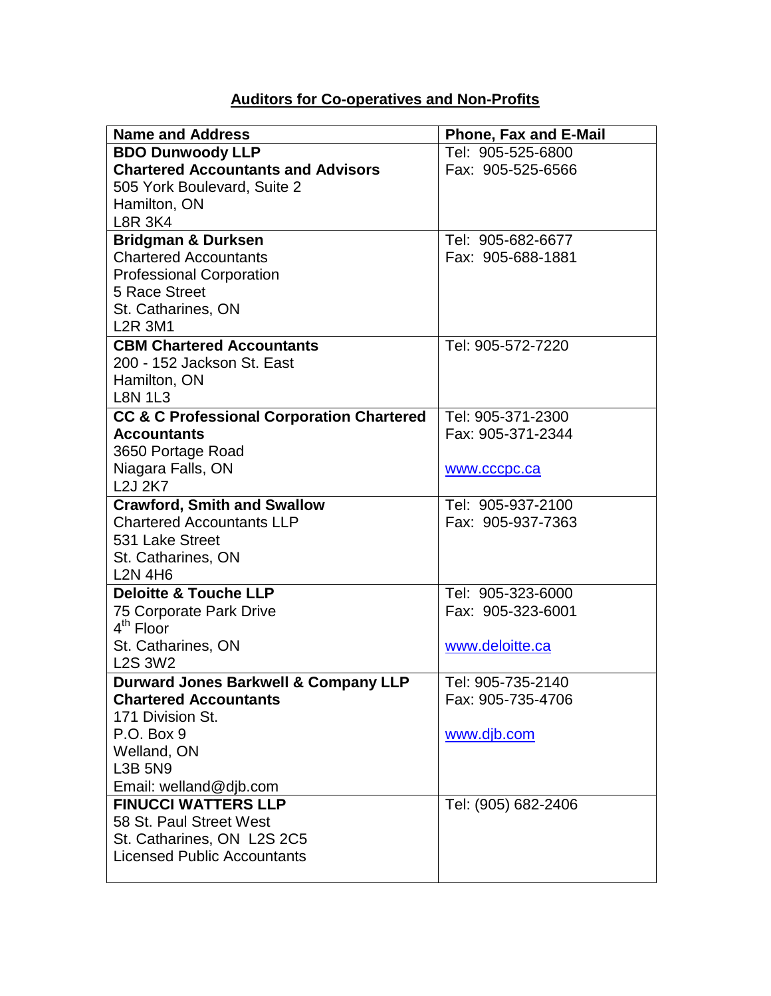## **Auditors for Co-operatives and Non-Profits**

| <b>Name and Address</b>                              | Phone, Fax and E-Mail |
|------------------------------------------------------|-----------------------|
| <b>BDO Dunwoody LLP</b>                              | Tel: 905-525-6800     |
| <b>Chartered Accountants and Advisors</b>            | Fax: 905-525-6566     |
| 505 York Boulevard, Suite 2                          |                       |
| Hamilton, ON                                         |                       |
| <b>L8R 3K4</b>                                       |                       |
| <b>Bridgman &amp; Durksen</b>                        | Tel: 905-682-6677     |
| <b>Chartered Accountants</b>                         | Fax: 905-688-1881     |
| <b>Professional Corporation</b>                      |                       |
| 5 Race Street                                        |                       |
| St. Catharines, ON                                   |                       |
| <b>L2R 3M1</b>                                       |                       |
| <b>CBM Chartered Accountants</b>                     | Tel: 905-572-7220     |
| 200 - 152 Jackson St. East                           |                       |
| Hamilton, ON                                         |                       |
| <b>L8N 1L3</b>                                       |                       |
| <b>CC &amp; C Professional Corporation Chartered</b> | Tel: 905-371-2300     |
| <b>Accountants</b>                                   | Fax: 905-371-2344     |
| 3650 Portage Road                                    |                       |
| Niagara Falls, ON                                    | www.cccpc.ca          |
| <b>L2J 2K7</b>                                       |                       |
| <b>Crawford, Smith and Swallow</b>                   | Tel: 905-937-2100     |
| <b>Chartered Accountants LLP</b>                     | Fax: 905-937-7363     |
| 531 Lake Street                                      |                       |
| St. Catharines, ON                                   |                       |
| <b>L2N 4H6</b>                                       |                       |
| <b>Deloitte &amp; Touche LLP</b>                     | Tel: 905-323-6000     |
| <b>75 Corporate Park Drive</b>                       | Fax: 905-323-6001     |
| $4th$ Floor                                          |                       |
| St. Catharines, ON                                   | www.deloitte.ca       |
| <b>L2S 3W2</b>                                       |                       |
| <b>Durward Jones Barkwell &amp; Company LLP</b>      | Tel: 905-735-2140     |
| <b>Chartered Accountants</b>                         | Fax: 905-735-4706     |
| 171 Division St.                                     |                       |
| P.O. Box 9                                           | www.djb.com           |
| Welland, ON                                          |                       |
| <b>L3B 5N9</b>                                       |                       |
| Email: welland@djb.com                               |                       |
| <b>FINUCCI WATTERS LLP</b>                           | Tel: (905) 682-2406   |
| 58 St. Paul Street West                              |                       |
| St. Catharines, ON L2S 2C5                           |                       |
| <b>Licensed Public Accountants</b>                   |                       |
|                                                      |                       |